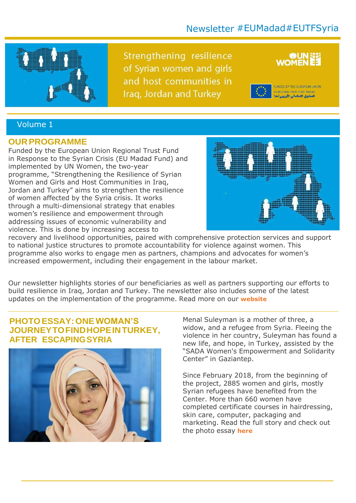# Newsletter #EUMadad#EUTFSyria



Strengthening resilience of Syrian women and girls and host communities in Iraq, Jordan and Turkey



FUNDED BY THE EUROPEAN UNION EU REGIONAL TRUST FUND IMADAD .<br>الصندوق الاستثمالي الأوروبي مندا

### Volume 1

#### **OUR PROGRAMME**

Funded by the European Union Regional Trust Fund in Response to the Syrian Crisis (EU Madad Fund) and implemented by UN Women, the two-year programme, "Strengthening the Resilience of Syrian Women and Girls and Host Communities in Iraq, Jordan and Turkey" aims to strengthen the resilience of women affected by the Syria crisis. It works through a multi-dimensional strategy that enables women's resilience and empowerment through addressing issues of economic vulnerability and violence. This is done by increasing access to



recovery and livelihood opportunities, paired with comprehensive protection services and support to national justice structures to promote accountability for violence against women. This programme also works to engage men as partners, champions and advocates for women's increased empowerment, including their engagement in the labour market.

Our newsletter highlights stories of our beneficiaries as well as partners supporting our efforts to build resilience in Iraq, Jordan and Turkey. The newsletter also includes some of the latest updates on the implementation of the programme. Read more on our **[website](http://arabstates.unwomen.org/en/what-we-do/peace-and-security/the-eu-madad-fund)**

## **PHOTOESSAY:ONEWOMAN'S JOURNEYTOFINDHOPEINTURKEY, AFTER ESCAPINGSYRIA**



Menal Suleyman is a mother of three, a widow, and a refugee from Syria. Fleeing the violence in her country, Suleyman has found a new life, and hope, in Turkey, assisted by the "SADA Women's Empowerment and Solidarity Center" in Gaziantep.

Since February 2018, from the beginning of the project, 2885 women and girls, mostly Syrian refugees have benefited from the Center. More than 660 women have completed certificate courses in hairdressing, skin care, computer, packaging and marketing. Read the full story and check out the photo essay **[here](http://arabstates.unwomen.org/en/news/stories/2018/6/photo-essay-menal-suleyman)**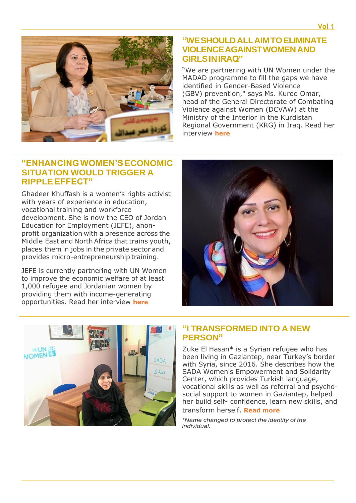

### **"WESHOULDALLAIMTOELIMINATE VIOLENCEAGAINSTWOMENAND GIRLSINIRAQ"**

"We are partnering with UN Women under the MADAD programme to fill the gaps we have identified in Gender-Based Violence (GBV) prevention," says Ms. Kurdo Omar, head of the General Directorate of Combating Violence against Women (DCVAW) at the Ministry of the Interior in the Kurdistan Regional Government (KRG) in Iraq. Read her interview **[here](http://arabstates.unwomen.org/en/news/stories/2018/9/we-should-all-aim-to-eliminate-violence-against-women)**

## **"ENHANCINGWOMEN'SECONOMIC SITUATION WOULD TRIGGER A RIPPLEEFFECT"**

Ghadeer Khuffash is a women's rights activist with years of experience in education, vocational training and workforce development. She is now the CEO of Jordan Education for Employment (JEFE), anonprofit organization with a presence across the Middle East and North Africa that trains youth, places them in jobs in the private sector and provides micro-entrepreneurship training.

JEFE is currently partnering with UN Women to improve the economic welfare of at least 1,000 refugee and Jordanian women by providing them with income-generating opportunities. Read her interview **[here](http://arabstates.unwomen.org/en/news/stories/2018/9/enhancing-women-economic-situation)**





#### **"I TRANSFORMED INTO A NEW PERSON"**

Zuke El Hasan\* is a Syrian refugee who has been living in Gaziantep, near Turkey's border with Syria, since 2016. She describes how the SADA Women's Empowerment and Solidarity Center, which provides Turkish language, vocational skills as well as referral and psychosocial support to women in Gaziantep, helped her build self- confidence, learn new skills, and transform herself. **[Read more](http://arabstates.unwomen.org/en/news/stories/2018/8/from-where-i-stand-zuke-el-hasan)**

*\*Name changed to protect the identity of the individual.*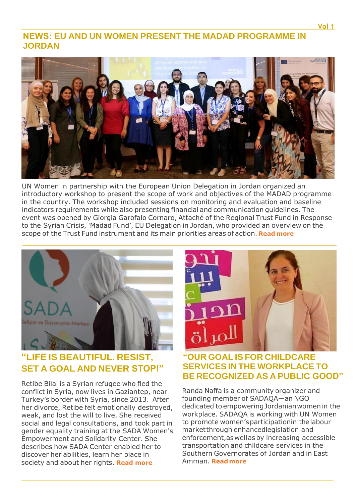# **NEWS: EU AND UN WOMEN PRESENT THE MADAD PROGRAMME IN JORDAN**



UN Women in partnership with the European Union Delegation in Jordan organized an introductory workshop to present the scope of work and objectives of the MADAD programme in the country. The workshop included sessions on monitoring and evaluation and baseline indicators requirements while also presenting financial and communication guidelines. The event was opened by Giorgia Garofalo Cornaro, Attaché of the Regional Trust Fund in Response to the Syrian Crisis, 'Madad Fund', EU Delegation in Jordan, who provided an overview on the scope of the Trust Fund instrument and its main priorities areas of action. **[Read more](https://web.facebook.com/unwomenjordan/posts/2140008852878036?__tn__=-R&amp%3B_rdc=1&amp%3B_rdr)**



# **"LIFE IS BEAUTIFUL. RESIST, SET A GOAL AND NEVER STOP!"**

Retibe Bilal is a Syrian refugee who fled the conflict in Syria, now lives in Gaziantep, near Turkey's border with Syria, since 2013. After her divorce, Retibe felt emotionally destroyed, weak, and lost the will to live. She received social and legal consultations, and took part in gender equality training at the SADA Women's Empowerment and Solidarity Center. She describes how SADA Center enabled her to discover her abilities, learn her place in society and about her rights. **Read [more](http://arabstates.unwomen.org/en/news/stories/2018/6/in-the-words-of-retibe-bilal)**



## **"OUR GOAL IS FOR CHILDCARE SERVICES IN THE WORKPLACE TO BE RECOGNIZED AS A PUBLIC GOOD"**

Randa Naffa is a community organizer and founding member of SADAQA—an NGO dedicated to empowering Jordanian women in the workplace. SADAQA is working with UN Women to promote women'sparticipationin thelabour market through enhancedlegislation and enforcement,as well asby increasing accessible transportation and childcare services in the Southern Governorates of Jordan and in East Amman. **[Read more](http://arabstates.unwomen.org/en/news/stories/2018/8/take-five)**